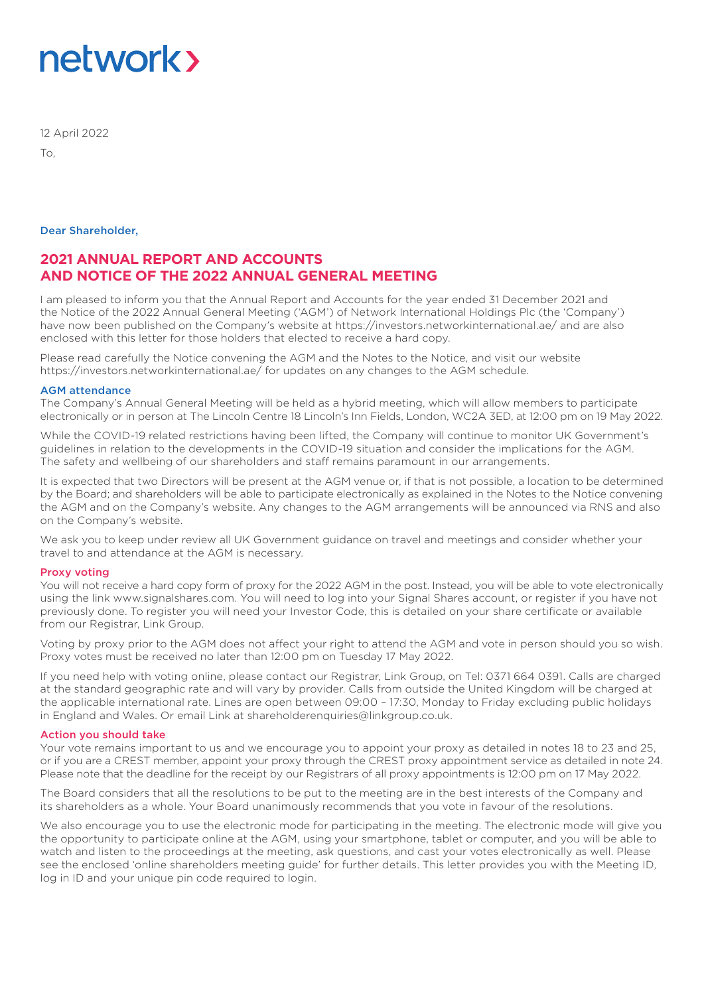# network >

12 April 2022

 $T_{\Omega}$ 

#### Dear Shareholder,

### **2021 ANNUAL REPORT AND ACCOUNTS AND NOTICE OF THE 2022 ANNUAL GENERAL MEETING**

I am pleased to inform you that the Annual Report and Accounts for the year ended 31 December 2021 and the Notice of the 2022 Annual General Meeting ('AGM') of Network International Holdings Plc (the 'Company') have now been published on the Company's website at https://investors.networkinternational.ae/ and are also enclosed with this letter for those holders that elected to receive a hard copy.

Please read carefully the Notice convening the AGM and the Notes to the Notice, and visit our website https://investors.networkinternational.ae/ for updates on any changes to the AGM schedule.

#### AGM attendance

The Company's Annual General Meeting will be held as a hybrid meeting, which will allow members to participate electronically or in person at The Lincoln Centre 18 Lincoln's Inn Fields, London, WC2A 3ED, at 12:00 pm on 19 May 2022.

While the COVID-19 related restrictions having been lifted, the Company will continue to monitor UK Government's guidelines in relation to the developments in the COVID-19 situation and consider the implications for the AGM. The safety and wellbeing of our shareholders and staff remains paramount in our arrangements.

It is expected that two Directors will be present at the AGM venue or, if that is not possible, a location to be determined by the Board; and shareholders will be able to participate electronically as explained in the Notes to the Notice convening the AGM and on the Company's website. Any changes to the AGM arrangements will be announced via RNS and also on the Company's website.

We ask you to keep under review all UK Government guidance on travel and meetings and consider whether your travel to and attendance at the AGM is necessary.

#### Proxy voting

You will not receive a hard copy form of proxy for the 2022 AGM in the post. Instead, you will be able to vote electronically using the link www.signalshares.com. You will need to log into your Signal Shares account, or register if you have not previously done. To register you will need your Investor Code, this is detailed on your share certificate or available from our Registrar, Link Group.

Voting by proxy prior to the AGM does not affect your right to attend the AGM and vote in person should you so wish. Proxy votes must be received no later than 12:00 pm on Tuesday 17 May 2022.

If you need help with voting online, please contact our Registrar, Link Group, on Tel: 0371 664 0391. Calls are charged at the standard geographic rate and will vary by provider. Calls from outside the United Kingdom will be charged at the applicable international rate. Lines are open between 09:00 – 17:30, Monday to Friday excluding public holidays in England and Wales. Or email Link at shareholderenquiries@linkgroup.co.uk.

#### Action you should take

Your vote remains important to us and we encourage you to appoint your proxy as detailed in notes 18 to 23 and 25, or if you are a CREST member, appoint your proxy through the CREST proxy appointment service as detailed in note 24. Please note that the deadline for the receipt by our Registrars of all proxy appointments is 12:00 pm on 17 May 2022.

The Board considers that all the resolutions to be put to the meeting are in the best interests of the Company and its shareholders as a whole. Your Board unanimously recommends that you vote in favour of the resolutions.

We also encourage you to use the electronic mode for participating in the meeting. The electronic mode will give you the opportunity to participate online at the AGM, using your smartphone, tablet or computer, and you will be able to watch and listen to the proceedings at the meeting, ask questions, and cast your votes electronically as well. Please see the enclosed 'online shareholders meeting guide' for further details. This letter provides you with the Meeting ID, log in ID and your unique pin code required to login.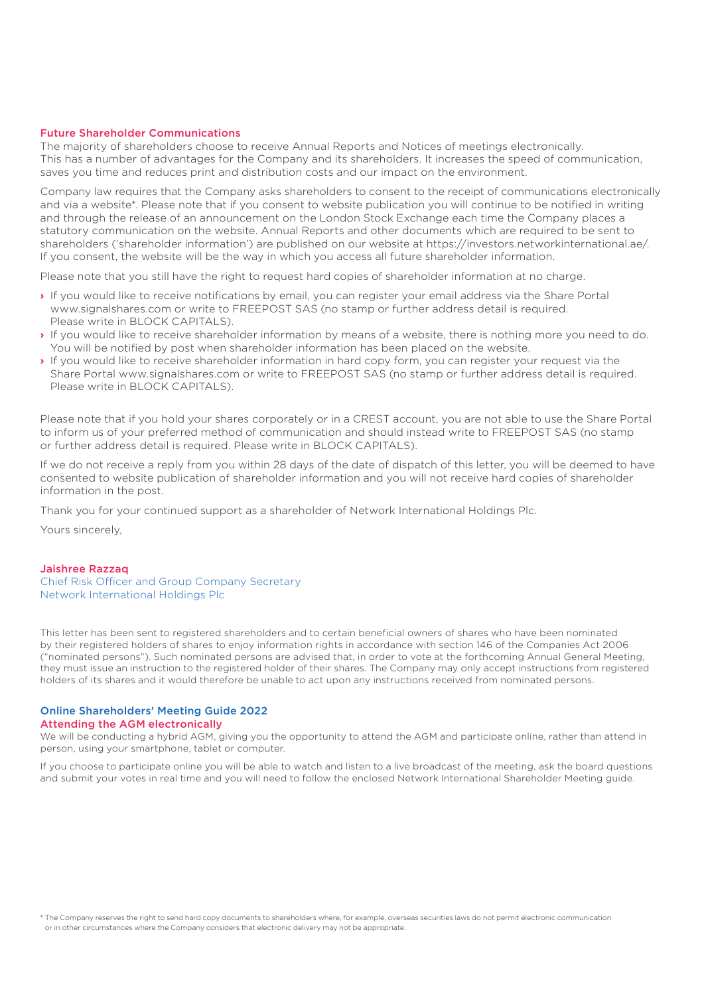#### Future Shareholder Communications

The majority of shareholders choose to receive Annual Reports and Notices of meetings electronically. This has a number of advantages for the Company and its shareholders. It increases the speed of communication, saves you time and reduces print and distribution costs and our impact on the environment.

Company law requires that the Company asks shareholders to consent to the receipt of communications electronically and via a website\*. Please note that if you consent to website publication you will continue to be notified in writing and through the release of an announcement on the London Stock Exchange each time the Company places a statutory communication on the website. Annual Reports and other documents which are required to be sent to shareholders ('shareholder information') are published on our website at https://investors.networkinternational.ae/. If you consent, the website will be the way in which you access all future shareholder information.

Please note that you still have the right to request hard copies of shareholder information at no charge.

- **›** If you would like to receive notifications by email, you can register your email address via the Share Portal www.signalshares.com or write to FREEPOST SAS (no stamp or further address detail is required. Please write in BLOCK CAPITALS).
- **›** If you would like to receive shareholder information by means of a website, there is nothing more you need to do. You will be notified by post when shareholder information has been placed on the website.
- **›** If you would like to receive shareholder information in hard copy form, you can register your request via the Share Portal www.signalshares.com or write to FREEPOST SAS (no stamp or further address detail is required. Please write in BLOCK CAPITALS).

Please note that if you hold your shares corporately or in a CREST account, you are not able to use the Share Portal to inform us of your preferred method of communication and should instead write to FREEPOST SAS (no stamp or further address detail is required. Please write in BLOCK CAPITALS).

If we do not receive a reply from you within 28 days of the date of dispatch of this letter, you will be deemed to have consented to website publication of shareholder information and you will not receive hard copies of shareholder information in the post.

Thank you for your continued support as a shareholder of Network International Holdings Plc.

Yours sincerely,

#### Jaishree Razzaq

Chief Risk Officer and Group Company Secretary Network International Holdings Plc

This letter has been sent to registered shareholders and to certain beneficial owners of shares who have been nominated by their registered holders of shares to enjoy information rights in accordance with section 146 of the Companies Act 2006 ("nominated persons"). Such nominated persons are advised that, in order to vote at the forthcoming Annual General Meeting, they must issue an instruction to the registered holder of their shares. The Company may only accept instructions from registered holders of its shares and it would therefore be unable to act upon any instructions received from nominated persons.

#### Online Shareholders' Meeting Guide 2022

#### Attending the AGM electronically

We will be conducting a hybrid AGM, giving you the opportunity to attend the AGM and participate online, rather than attend in person, using your smartphone, tablet or computer.

If you choose to participate online you will be able to watch and listen to a live broadcast of the meeting, ask the board questions and submit your votes in real time and you will need to follow the enclosed Network International Shareholder Meeting guide.

\* The Company reserves the right to send hard copy documents to shareholders where, for example, overseas securities laws do not permit electronic communication or in other circumstances where the Company considers that electronic delivery may not be appropriate.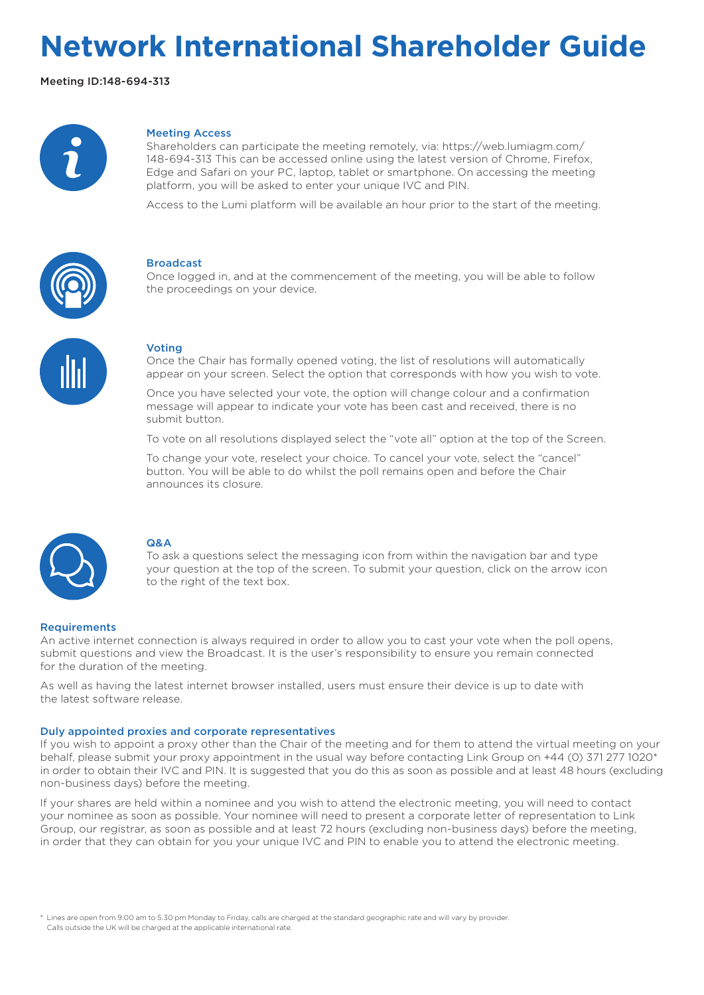## **Network International Shareholder Guide**

Meeting ID:148-694-313



#### Meeting Access

Shareholders can participate the meeting remotely, via: https://web.lumiagm.com/ 148-694-313 This can be accessed online using the latest version of Chrome, Firefox, Edge and Safari on your PC, laptop, tablet or smartphone. On accessing the meeting platform, you will be asked to enter your unique IVC and PIN.

Access to the Lumi platform will be available an hour prior to the start of the meeting.



#### Broadcast

Once logged in, and at the commencement of the meeting, you will be able to follow the proceedings on your device.



#### Voting

Once the Chair has formally opened voting, the list of resolutions will automatically appear on your screen. Select the option that corresponds with how you wish to vote.

Once you have selected your vote, the option will change colour and a confirmation message will appear to indicate your vote has been cast and received, there is no submit button.

To vote on all resolutions displayed select the "vote all" option at the top of the Screen.

To change your vote, reselect your choice. To cancel your vote, select the "cancel" button. You will be able to do whilst the poll remains open and before the Chair announces its closure.



#### Q&A

To ask a questions select the messaging icon from within the navigation bar and type your question at the top of the screen. To submit your question, click on the arrow icon to the right of the text box.

#### Requirements

An active internet connection is always required in order to allow you to cast your vote when the poll opens, submit questions and view the Broadcast. It is the user's responsibility to ensure you remain connected for the duration of the meeting.

As well as having the latest internet browser installed, users must ensure their device is up to date with the latest software release.

#### Duly appointed proxies and corporate representatives

If you wish to appoint a proxy other than the Chair of the meeting and for them to attend the virtual meeting on your behalf, please submit your proxy appointment in the usual way before contacting Link Group on +44 (0) 371 277 1020\* in order to obtain their IVC and PIN. It is suggested that you do this as soon as possible and at least 48 hours (excluding non-business days) before the meeting.

If your shares are held within a nominee and you wish to attend the electronic meeting, you will need to contact your nominee as soon as possible. Your nominee will need to present a corporate letter of representation to Link Group, our registrar, as soon as possible and at least 72 hours (excluding non-business days) before the meeting, in order that they can obtain for you your unique IVC and PIN to enable you to attend the electronic meeting.

\* Lines are open from 9.00 am to 5.30 pm Monday to Friday, calls are charged at the standard geographic rate and will vary by provider. Calls outside the UK will be charged at the applicable international rate.